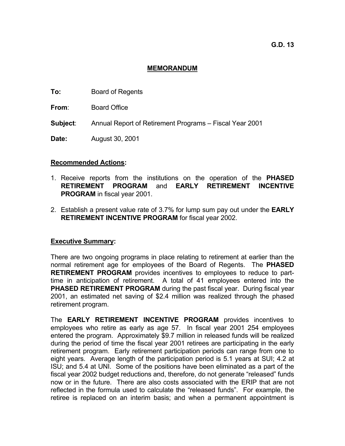# **MEMORANDUM**

- **To:** Board of Regents
- **From**: Board Office
- **Subject**: Annual Report of Retirement Programs Fiscal Year 2001
- **Date:** August 30, 2001

# **Recommended Actions:**

- 1. Receive reports from the institutions on the operation of the **PHASED RETIREMENT PROGRAM** and **EARLY RETIREMENT INCENTIVE PROGRAM** in fiscal year 2001.
- 2. Establish a present value rate of 3.7% for lump sum pay out under the **EARLY RETIREMENT INCENTIVE PROGRAM** for fiscal year 2002.

# **Executive Summary:**

There are two ongoing programs in place relating to retirement at earlier than the normal retirement age for employees of the Board of Regents. The **PHASED RETIREMENT PROGRAM** provides incentives to employees to reduce to parttime in anticipation of retirement. A total of 41 employees entered into the **PHASED RETIREMENT PROGRAM** during the past fiscal year. During fiscal year 2001, an estimated net saving of \$2.4 million was realized through the phased retirement program.

The **EARLY RETIREMENT INCENTIVE PROGRAM** provides incentives to employees who retire as early as age 57. In fiscal year 2001 254 employees entered the program. Approximately \$9.7 million in released funds will be realized during the period of time the fiscal year 2001 retirees are participating in the early retirement program. Early retirement participation periods can range from one to eight years. Average length of the participation period is 5.1 years at SUI; 4.2 at ISU; and 5.4 at UNI. Some of the positions have been eliminated as a part of the fiscal year 2002 budget reductions and, therefore, do not generate "released" funds now or in the future. There are also costs associated with the ERIP that are not reflected in the formula used to calculate the "released funds". For example, the retiree is replaced on an interim basis; and when a permanent appointment is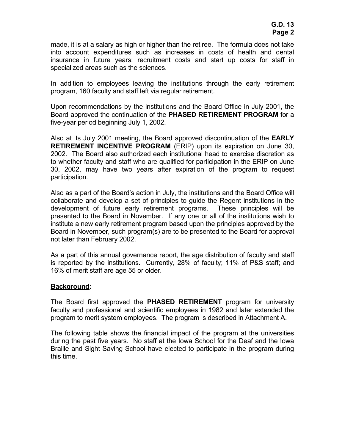made, it is at a salary as high or higher than the retiree. The formula does not take into account expenditures such as increases in costs of health and dental insurance in future years; recruitment costs and start up costs for staff in specialized areas such as the sciences.

In addition to employees leaving the institutions through the early retirement program, 160 faculty and staff left via regular retirement.

Upon recommendations by the institutions and the Board Office in July 2001, the Board approved the continuation of the **PHASED RETIREMENT PROGRAM** for a five-year period beginning July 1, 2002.

Also at its July 2001 meeting, the Board approved discontinuation of the **EARLY RETIREMENT INCENTIVE PROGRAM** (ERIP) upon its expiration on June 30, 2002. The Board also authorized each institutional head to exercise discretion as to whether faculty and staff who are qualified for participation in the ERIP on June 30, 2002, may have two years after expiration of the program to request participation.

Also as a part of the Board's action in July, the institutions and the Board Office will collaborate and develop a set of principles to guide the Regent institutions in the development of future early retirement programs. These principles will be presented to the Board in November. If any one or all of the institutions wish to institute a new early retirement program based upon the principles approved by the Board in November, such program(s) are to be presented to the Board for approval not later than February 2002.

As a part of this annual governance report, the age distribution of faculty and staff is reported by the institutions. Currently, 28% of faculty; 11% of P&S staff; and 16% of merit staff are age 55 or older.

# **Background:**

The Board first approved the **PHASED RETIREMENT** program for university faculty and professional and scientific employees in 1982 and later extended the program to merit system employees. The program is described in Attachment A.

The following table shows the financial impact of the program at the universities during the past five years. No staff at the Iowa School for the Deaf and the Iowa Braille and Sight Saving School have elected to participate in the program during this time.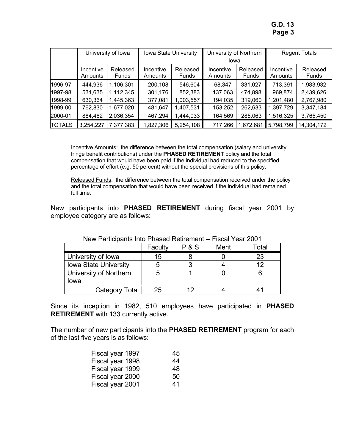**G.D. 13 Page 3** 

|               | University of Iowa   |                          | <b>Iowa State University</b> |                          | University of Northern<br>Iowa |                          | <b>Regent Totals</b> |                   |
|---------------|----------------------|--------------------------|------------------------------|--------------------------|--------------------------------|--------------------------|----------------------|-------------------|
|               | Incentive<br>Amounts | Released<br><b>Funds</b> | Incentive<br>Amounts         | Released<br><b>Funds</b> | Incentive<br>Amounts           | Released<br><b>Funds</b> | Incentive<br>Amounts | Released<br>Funds |
| 1996-97       | 444,936              | 1,106,301                | 200,108                      | 546,604                  | 68,347                         | 331,027                  | 713,391              | 1,983,932         |
| 1997-98       | 531,635              | 1,112,345                | 301,176                      | 852,383                  | 137,063                        | 474,898                  | 969,874              | 2,439,626         |
| 1998-99       | 630,364              | ,445,363                 | 377,081                      | 1,003,557                | 194,035                        | 319,060                  | .201,480             | 2,767,980         |
| 1999-00       | 762,830              | 1,677,020                | 481,647                      | 1,407,531                | 153,252                        | 262,633                  | 1,397,729            | 3,347,184         |
| 2000-01       | 884,462              | 2,036,354                | 467,294                      | 1,444,033                | 164,569                        | 285,063                  | 1,516,325            | 3,765,450         |
| <b>TOTALS</b> | 3,254,227            | ,377,383                 | 1,827,306                    | 5,254,108                | 717,266                        | ,672,681                 | 5,798,799            | 14,304,172        |

Incentive Amounts: the difference between the total compensation (salary and university fringe benefit contributions) under the **PHASED RETIREMENT** policy and the total compensation that would have been paid if the individual had reduced to the specified percentage of effort (e.g. 50 percent) without the special provisions of this policy.

Released Funds: the difference between the total compensation received under the policy and the total compensation that would have been received if the individual had remained full time.

New participants into **PHASED RETIREMENT** during fiscal year 2001 by employee category are as follows:

|                              | Faculty | <b>P&amp;S</b> | Merit | otal <sup>-</sup> |  |  |
|------------------------------|---------|----------------|-------|-------------------|--|--|
| University of Iowa           | 15      |                |       | 23                |  |  |
| <b>Iowa State University</b> | b       |                |       | 12                |  |  |
| University of Northern       | b       |                |       |                   |  |  |
| lowa                         |         |                |       |                   |  |  |
| Category Total               | 25      |                |       |                   |  |  |

New Participants Into Phased Retirement -- Fiscal Year 2001

Since its inception in 1982, 510 employees have participated in **PHASED RETIREMENT** with 133 currently active.

The number of new participants into the **PHASED RETIREMENT** program for each of the last five years is as follows:

| 45 |
|----|
| 44 |
| 48 |
| 50 |
| 41 |
|    |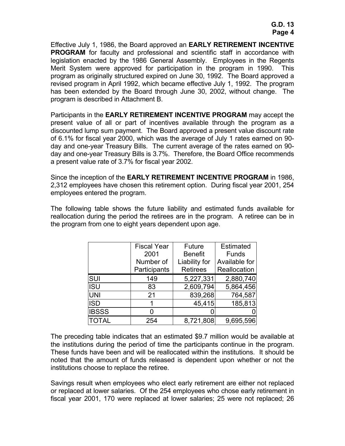Effective July 1, 1986, the Board approved an **EARLY RETIREMENT INCENTIVE PROGRAM** for faculty and professional and scientific staff in accordance with legislation enacted by the 1986 General Assembly. Employees in the Regents Merit System were approved for participation in the program in 1990. This program as originally structured expired on June 30, 1992. The Board approved a revised program in April 1992, which became effective July 1, 1992. The program has been extended by the Board through June 30, 2002, without change. The program is described in Attachment B.

Participants in the **EARLY RETIREMENT INCENTIVE PROGRAM** may accept the present value of all or part of incentives available through the program as a discounted lump sum payment. The Board approved a present value discount rate of 6.1% for fiscal year 2000, which was the average of July 1 rates earned on 90 day and one-year Treasury Bills. The current average of the rates earned on 90 day and one-year Treasury Bills is 3.7%. Therefore, the Board Office recommends a present value rate of 3.7% for fiscal year 2002.

Since the inception of the **EARLY RETIREMENT INCENTIVE PROGRAM** in 1986, 2,312 employees have chosen this retirement option. During fiscal year 2001, 254 employees entered the program.

The following table shows the future liability and estimated funds available for reallocation during the period the retirees are in the program. A retiree can be in the program from one to eight years dependent upon age.

|              | <b>Fiscal Year</b> | Future          | Estimated     |
|--------------|--------------------|-----------------|---------------|
|              | 2001               | <b>Benefit</b>  | <b>Funds</b>  |
|              | Number of          | Liability for   | Available for |
|              | Participants       | <b>Retirees</b> | Reallocation  |
| SUI          | 149                | 5,227,331       | 2,880,740     |
| <b>ISU</b>   | 83                 | 2,609,794       | 5,864,456     |
| <b>UNI</b>   | 21                 | 839,268         | 764,587       |
| <b>ISD</b>   |                    | 45,415          | 185,813       |
| <b>IBSSS</b> | 0                  |                 |               |
| TOTAL        | 254                | 8,721,808       | 9,695,596     |

The preceding table indicates that an estimated \$9.7 million would be available at the institutions during the period of time the participants continue in the program. These funds have been and will be reallocated within the institutions. It should be noted that the amount of funds released is dependent upon whether or not the institutions choose to replace the retiree.

Savings result when employees who elect early retirement are either not replaced or replaced at lower salaries. Of the 254 employees who chose early retirement in fiscal year 2001, 170 were replaced at lower salaries; 25 were not replaced; 26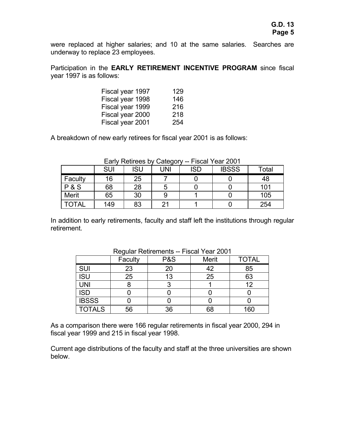were replaced at higher salaries; and 10 at the same salaries. Searches are underway to replace 23 employees.

Participation in the **EARLY RETIREMENT INCENTIVE PROGRAM** since fiscal year 1997 is as follows:

| Fiscal year 1997 | 129 |
|------------------|-----|
| Fiscal year 1998 | 146 |
| Fiscal year 1999 | 216 |
| Fiscal year 2000 | 218 |
| Fiscal year 2001 | 254 |

A breakdown of new early retirees for fiscal year 2001 is as follows:

|              | <b>SUI</b> | ISU | <b>JNI</b> | <b>ISD</b> | <b>IBSSS</b> | Total |
|--------------|------------|-----|------------|------------|--------------|-------|
| Faculty      | 16         | 25  |            |            |              | 48    |
| P&S          | 68         | 28  | b          |            |              | 101   |
| Merit        | 65         | 30  |            |            |              | 105   |
| <b>TOTAL</b> | 149        | 83  | 21         |            |              | 254   |

Early Retirees by Category -- Fiscal Year 2001

In addition to early retirements, faculty and staff left the institutions through regular retirement.

|               | Regular Retirements -- Fiscal Year ZUUT<br><b>P&amp;S</b><br>Faculty<br><b>TOTAL</b><br>Merit |    |    |     |  |
|---------------|-----------------------------------------------------------------------------------------------|----|----|-----|--|
| <b>SUI</b>    | 23                                                                                            | 20 | 42 | 85  |  |
| <b>ISU</b>    | 25                                                                                            | 13 | 25 | 63  |  |
| <b>UNI</b>    |                                                                                               | 3  |    | 12  |  |
| <b>ISD</b>    |                                                                                               |    |    |     |  |
| <b>IBSSS</b>  |                                                                                               |    |    |     |  |
| <b>TOTALS</b> | 56                                                                                            | 36 | 68 | 160 |  |

Regular Retirements -- Fiscal Year 2001

As a comparison there were 166 regular retirements in fiscal year 2000, 294 in fiscal year 1999 and 215 in fiscal year 1998.

Current age distributions of the faculty and staff at the three universities are shown below.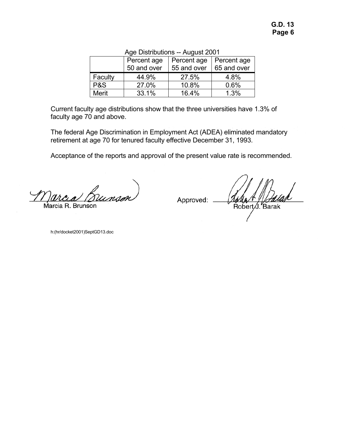| $1.09001 = 001$ |             |             |             |  |  |  |
|-----------------|-------------|-------------|-------------|--|--|--|
|                 | Percent age | Percent age | Percent age |  |  |  |
|                 | 50 and over | 55 and over | 65 and over |  |  |  |
| Faculty         | 44.9%       | 27.5%       | 4.8%        |  |  |  |
| P&S             | 27.0%       | 10.8%       | 0.6%        |  |  |  |
| <b>Merit</b>    | 33.1%       | 16.4%       | 1.3%        |  |  |  |

# Age Distributions -- August 2001

Current faculty age distributions show that the three universities have 1.3% of faculty age 70 and above.

The federal Age Discrimination in Employment Act (ADEA) eliminated mandatory retirement at age 70 for tenured faculty effective December 31, 1993.

Acceptance of the reports and approval of the present value rate is recommended.

Bunsor Marcia R. Brunson

Approved:

Robert J. Barak

h:(hr/docket2001)SeptGD13.doc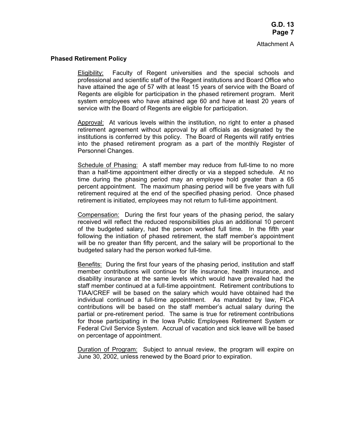### **Phased Retirement Policy**

 Eligibility: Faculty of Regent universities and the special schools and professional and scientific staff of the Regent institutions and Board Office who have attained the age of 57 with at least 15 years of service with the Board of Regents are eligible for participation in the phased retirement program. Merit system employees who have attained age 60 and have at least 20 years of service with the Board of Regents are eligible for participation.

 Approval: At various levels within the institution, no right to enter a phased retirement agreement without approval by all officials as designated by the institutions is conferred by this policy. The Board of Regents will ratify entries into the phased retirement program as a part of the monthly Register of Personnel Changes.

 Schedule of Phasing: A staff member may reduce from full-time to no more than a half-time appointment either directly or via a stepped schedule. At no time during the phasing period may an employee hold greater than a 65 percent appointment. The maximum phasing period will be five years with full retirement required at the end of the specified phasing period. Once phased retirement is initiated, employees may not return to full-time appointment.

 Compensation: During the first four years of the phasing period, the salary received will reflect the reduced responsibilities plus an additional 10 percent of the budgeted salary, had the person worked full time. In the fifth year following the initiation of phased retirement, the staff member's appointment will be no greater than fifty percent, and the salary will be proportional to the budgeted salary had the person worked full-time.

 Benefits: During the first four years of the phasing period, institution and staff member contributions will continue for life insurance, health insurance, and disability insurance at the same levels which would have prevailed had the staff member continued at a full-time appointment. Retirement contributions to TIAA/CREF will be based on the salary which would have obtained had the individual continued a full-time appointment. As mandated by law, FICA contributions will be based on the staff member's actual salary during the partial or pre-retirement period. The same is true for retirement contributions for those participating in the Iowa Public Employees Retirement System or Federal Civil Service System. Accrual of vacation and sick leave will be based on percentage of appointment.

Duration of Program: Subject to annual review, the program will expire on June 30, 2002, unless renewed by the Board prior to expiration.